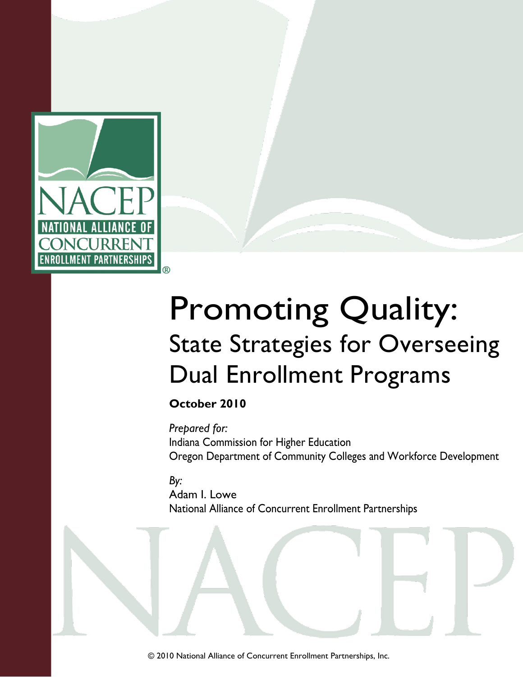

# Promoting Quality: State Strategies for Overseeing Dual Enrollment Programs

**October 2010**

*Prepared for:* Indiana Commission for Higher Education Oregon Department of Community Colleges and Workforce Development

*By:*

Adam I. Lowe National Alliance of Concurrent Enrollment Partnerships

© 2010 National Alliance of Concurrent Enrollment Partnerships, Inc.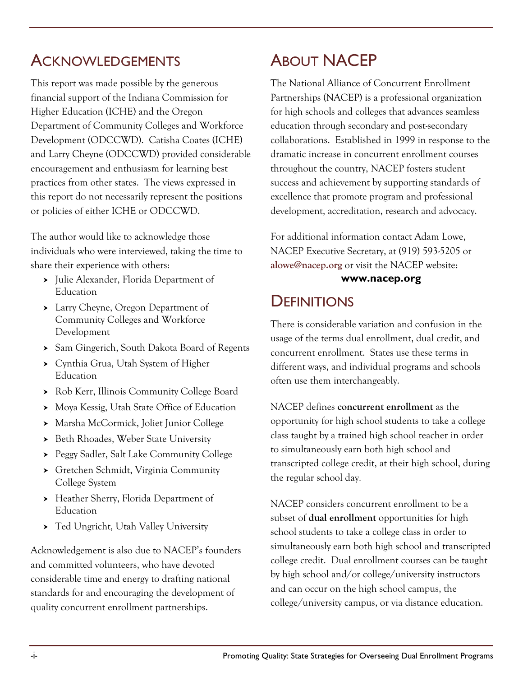### **ACKNOWLEDGEMENTS**

This report was made possible by the generous financial support of the Indiana Commission for Higher Education (ICHE) and the Oregon Department of Community Colleges and Workforce Development (ODCCWD). Catisha Coates (ICHE) and Larry Cheyne (ODCCWD) provided considerable encouragement and enthusiasm for learning best practices from other states. The views expressed in this report do not necessarily represent the positions or policies of either ICHE or ODCCWD.

The author would like to acknowledge those individuals who were interviewed, taking the time to share their experience with others:

- Julie Alexander, Florida Department of Education
- Larry Cheyne, Oregon Department of Community Colleges and Workforce Development
- Sam Gingerich, South Dakota Board of Regents
- Cynthia Grua, Utah System of Higher Education
- Rob Kerr, Illinois Community College Board
- Moya Kessig, Utah State Office of Education
- Marsha McCormick, Joliet Junior College
- > Beth Rhoades, Weber State University
- Peggy Sadler, Salt Lake Community College
- Gretchen Schmidt, Virginia Community College System
- > Heather Sherry, Florida Department of Education
- Ted Ungricht, Utah Valley University

Acknowledgement is also due to NACEP's founders and committed volunteers, who have devoted considerable time and energy to drafting national standards for and encouraging the development of quality concurrent enrollment partnerships.

# ABOUT NACEP

The National Alliance of Concurrent Enrollment Partnerships (NACEP) is a professional organization for high schools and colleges that advances seamless education through secondary and post-secondary collaborations. Established in 1999 in response to the dramatic increase in concurrent enrollment courses throughout the country, NACEP fosters student success and achievement by supporting standards of excellence that promote program and professional development, accreditation, research and advocacy.

For additional information contact Adam Lowe, NACEP Executive Secretary, at (919) 593-5205 or **[alowe@nacep.org](mailto:alowe@nacep.org)** or visit the NACEP website:

#### **[www.nacep.org](http://www.nacep.org/)**

### **DEFINITIONS**

There is considerable variation and confusion in the usage of the terms dual enrollment, dual credit, and concurrent enrollment. States use these terms in different ways, and individual programs and schools often use them interchangeably.

NACEP defines **concurrent enrollment** as the opportunity for high school students to take a college class taught by a trained high school teacher in order to simultaneously earn both high school and transcripted college credit, at their high school, during the regular school day.

NACEP considers concurrent enrollment to be a subset of **dual enrollment** opportunities for high school students to take a college class in order to simultaneously earn both high school and transcripted college credit. Dual enrollment courses can be taught by high school and/or college/university instructors and can occur on the high school campus, the college/university campus, or via distance education.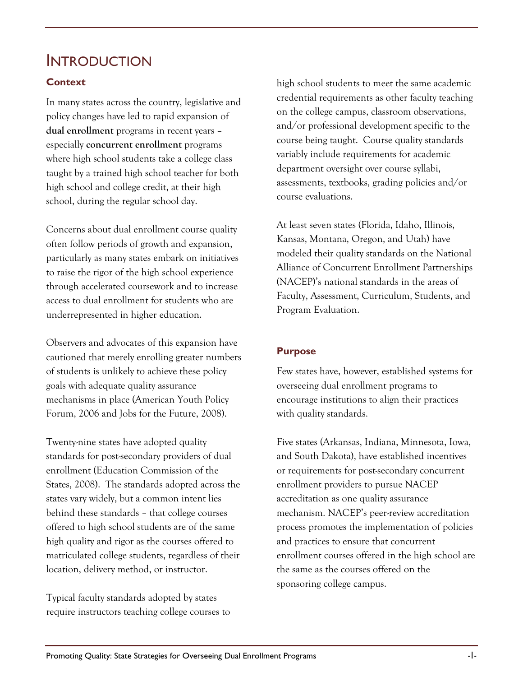### **INTRODUCTION**

#### **Context**

In many states across the country, legislative and policy changes have led to rapid expansion of **dual enrollment** programs in recent years – especially **concurrent enrollment** programs where high school students take a college class taught by a trained high school teacher for both high school and college credit, at their high school, during the regular school day.

Concerns about dual enrollment course quality often follow periods of growth and expansion, particularly as many states embark on initiatives to raise the rigor of the high school experience through accelerated coursework and to increase access to dual enrollment for students who are underrepresented in higher education.

Observers and advocates of this expansion have cautioned that merely enrolling greater numbers of students is unlikely to achieve these policy goals with adequate quality assurance mechanisms in place (American Youth Policy Forum, 2006 and Jobs for the Future, 2008).

Twenty-nine states have adopted quality standards for post-secondary providers of dual enrollment (Education Commission of the States, 2008). The standards adopted across the states vary widely, but a common intent lies behind these standards – that college courses offered to high school students are of the same high quality and rigor as the courses offered to matriculated college students, regardless of their location, delivery method, or instructor.

Typical faculty standards adopted by states require instructors teaching college courses to

high school students to meet the same academic credential requirements as other faculty teaching on the college campus, classroom observations, and/or professional development specific to the course being taught. Course quality standards variably include requirements for academic department oversight over course syllabi, assessments, textbooks, grading policies and/or course evaluations.

At least seven states (Florida, Idaho, Illinois, Kansas, Montana, Oregon, and Utah) have modeled their quality standards on the National Alliance of Concurrent Enrollment Partnerships (NACEP)'s national standards in the areas of Faculty, Assessment, Curriculum, Students, and Program Evaluation.

#### **Purpose**

Few states have, however, established systems for overseeing dual enrollment programs to encourage institutions to align their practices with quality standards.

Five states (Arkansas, Indiana, Minnesota, Iowa, and South Dakota), have established incentives or requirements for post-secondary concurrent enrollment providers to pursue NACEP accreditation as one quality assurance mechanism. NACEP's peer-review accreditation process promotes the implementation of policies and practices to ensure that concurrent enrollment courses offered in the high school are the same as the courses offered on the sponsoring college campus.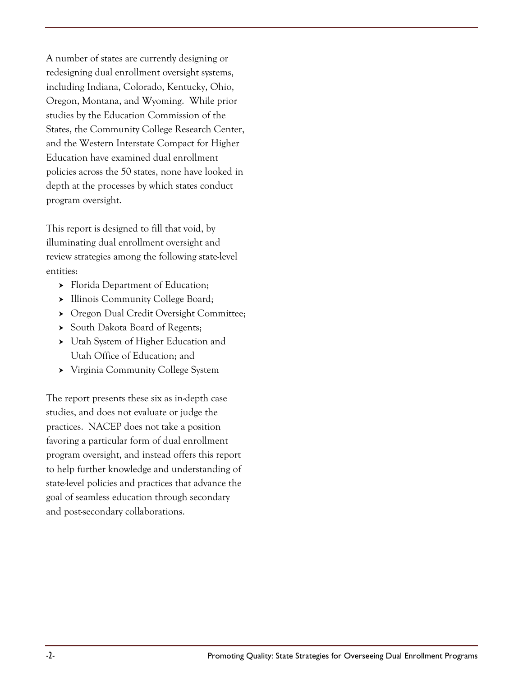A number of states are currently designing or redesigning dual enrollment oversight systems, including Indiana, Colorado, Kentucky, Ohio, Oregon, Montana, and Wyoming. While prior studies by the Education Commission of the States, the Community College Research Center, and the Western Interstate Compact for Higher Education have examined dual enrollment policies across the 50 states, none have looked in depth at the processes by which states conduct program oversight.

This report is designed to fill that void, by illuminating dual enrollment oversight and review strategies among the following state-level entities:

- > Florida Department of Education;
- > Illinois Community College Board;
- ▶ Oregon Dual Credit Oversight Committee;
- South Dakota Board of Regents;
- Utah System of Higher Education and Utah Office of Education; and
- Virginia Community College System

The report presents these six as in-depth case studies, and does not evaluate or judge the practices. NACEP does not take a position favoring a particular form of dual enrollment program oversight, and instead offers this report to help further knowledge and understanding of state-level policies and practices that advance the goal of seamless education through secondary and post-secondary collaborations.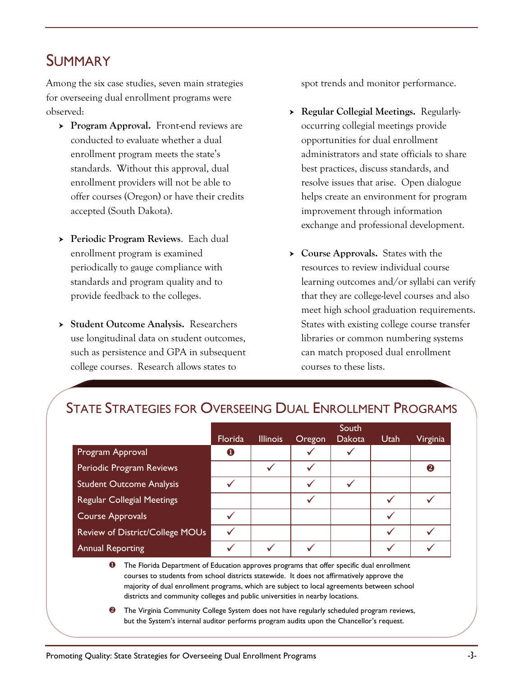### SUMMARY

Among the six case studies, seven main strategies for overseeing dual enrollment programs were observed:

- **Program Approval.** Front-end reviews are conducted to evaluate whether a dual enrollment program meets the state's standards. Without this approval, dual enrollment providers will not be able to offer courses (Oregon) or have their credits accepted (South Dakota).
- **Periodic Program Reviews**.Each dual enrollment program is examined periodically to gauge compliance with standards and program quality and to provide feedback to the colleges.
- **Student Outcome Analysis.** Researchers use longitudinal data on student outcomes, such as persistence and GPA in subsequent college courses. Research allows states to

spot trends and monitor performance.

- **Regular Collegial Meetings.** Regularlyoccurring collegial meetings provide opportunities for dual enrollment administrators and state officials to share best practices, discuss standards, and resolve issues that arise. Open dialogue helps create an environment for program improvement through information exchange and professional development.
- **Course Approvals.** States with the resources to review individual course learning outcomes and/or syllabi can verify that they are college-level courses and also meet high school graduation requirements. States with existing college course transfer libraries or common numbering systems can match proposed dual enrollment courses to these lists.

|                                   | South   |                 |        |               |      |          |  |  |
|-----------------------------------|---------|-----------------|--------|---------------|------|----------|--|--|
|                                   | Florida | <b>Illinois</b> | Oregon | <b>Dakota</b> | Utah | Virginia |  |  |
| Program Approval                  | O       |                 |        |               |      |          |  |  |
| Periodic Program Reviews          |         |                 |        |               |      | 2        |  |  |
| <b>Student Outcome Analysis</b>   |         |                 | ✔      |               |      |          |  |  |
| <b>Regular Collegial Meetings</b> |         |                 |        |               |      |          |  |  |
| <b>Course Approvals</b>           |         |                 |        |               |      |          |  |  |
| Review of District/College MOUs   |         |                 |        |               |      |          |  |  |
| <b>Annual Reporting</b>           |         |                 |        |               |      |          |  |  |

### STATE STRATEGIES FOR OVERSEEING DUAL ENROLLMENT PROGRAMS

**O** The Florida Department of Education approves programs that offer specific dual enrollment courses to students from school districts statewide. It does not affirmatively approve the majority of dual enrollment programs, which are subject to local agreements between school districts and community colleges and public universities in nearby locations.

**2** The Virginia Community College System does not have regularly scheduled program reviews, but the System's internal auditor performs program audits upon the Chancellor's request.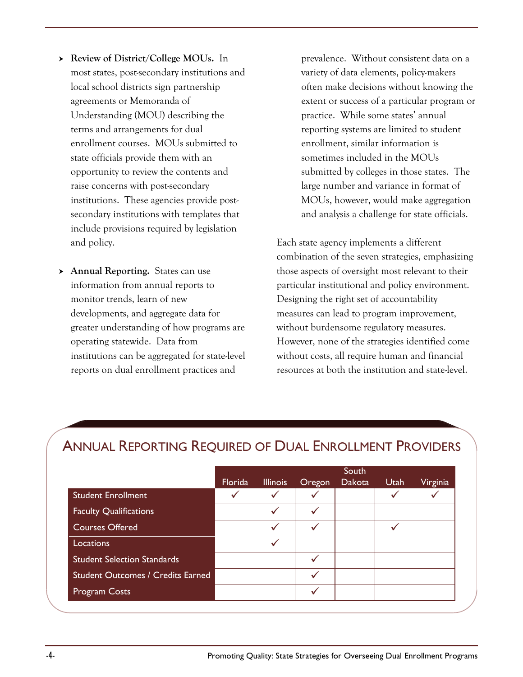- **Review of District/College MOUs.** In most states, post-secondary institutions and local school districts sign partnership agreements or Memoranda of Understanding (MOU) describing the terms and arrangements for dual enrollment courses. MOUs submitted to state officials provide them with an opportunity to review the contents and raise concerns with post-secondary institutions. These agencies provide postsecondary institutions with templates that include provisions required by legislation and policy.
- **Annual Reporting.** States can use information from annual reports to monitor trends, learn of new developments, and aggregate data for greater understanding of how programs are operating statewide. Data from institutions can be aggregated for state-level reports on dual enrollment practices and

prevalence. Without consistent data on a variety of data elements, policy-makers often make decisions without knowing the extent or success of a particular program or practice. While some states' annual reporting systems are limited to student enrollment, similar information is sometimes included in the MOUs submitted by colleges in those states. The large number and variance in format of MOUs, however, would make aggregation and analysis a challenge for state officials.

Each state agency implements a different combination of the seven strategies, emphasizing those aspects of oversight most relevant to their particular institutional and policy environment. Designing the right set of accountability measures can lead to program improvement, without burdensome regulatory measures. However, none of the strategies identified come without costs, all require human and financial resources at both the institution and state-level.

|                                          |         |                 |        | South  |      |          |
|------------------------------------------|---------|-----------------|--------|--------|------|----------|
|                                          | Florida | <b>Illinois</b> | Oregon | Dakota | Utah | Virginia |
| <b>Student Enrollment</b>                |         |                 |        |        |      |          |
| <b>Faculty Qualifications</b>            |         |                 |        |        |      |          |
| Courses Offered                          |         |                 |        |        |      |          |
| Locations                                |         |                 |        |        |      |          |
| <b>Student Selection Standards</b>       |         |                 |        |        |      |          |
| <b>Student Outcomes / Credits Earned</b> |         |                 |        |        |      |          |
| <b>Program Costs</b>                     |         |                 |        |        |      |          |

### ANNUAL REPORTING REQUIRED OF DUAL ENROLLMENT PROVIDERS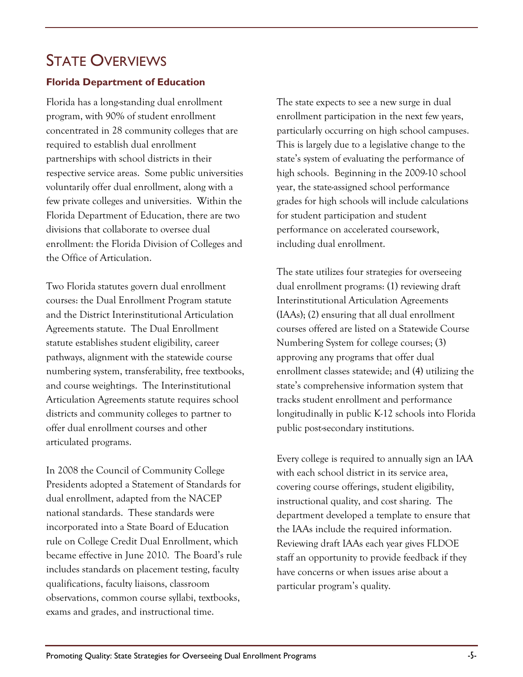## STATE OVERVIEWS

#### **Florida Department of Education**

Florida has a long-standing dual enrollment program, with 90% of student enrollment concentrated in 28 community colleges that are required to establish dual enrollment partnerships with school districts in their respective service areas. Some public universities voluntarily offer dual enrollment, along with a few private colleges and universities. Within the Florida Department of Education, there are two divisions that collaborate to oversee dual enrollment: the Florida Division of Colleges and the Office of Articulation.

Two Florida statutes govern dual enrollment courses: the Dual Enrollment Program statute and the District Interinstitutional Articulation Agreements statute. The Dual Enrollment statute establishes student eligibility, career pathways, alignment with the statewide course numbering system, transferability, free textbooks, and course weightings. The Interinstitutional Articulation Agreements statute requires school districts and community colleges to partner to offer dual enrollment courses and other articulated programs.

In 2008 the Council of Community College Presidents adopted a Statement of Standards for dual enrollment, adapted from the NACEP national standards. These standards were incorporated into a State Board of Education rule on College Credit Dual Enrollment, which became effective in June 2010. The Board's rule includes standards on placement testing, faculty qualifications, faculty liaisons, classroom observations, common course syllabi, textbooks, exams and grades, and instructional time.

The state expects to see a new surge in dual enrollment participation in the next few years, particularly occurring on high school campuses. This is largely due to a legislative change to the state's system of evaluating the performance of high schools. Beginning in the 2009-10 school year, the state-assigned school performance grades for high schools will include calculations for student participation and student performance on accelerated coursework, including dual enrollment.

The state utilizes four strategies for overseeing dual enrollment programs: (1) reviewing draft Interinstitutional Articulation Agreements (IAAs); (2) ensuring that all dual enrollment courses offered are listed on a Statewide Course Numbering System for college courses; (3) approving any programs that offer dual enrollment classes statewide; and (4) utilizing the state's comprehensive information system that tracks student enrollment and performance longitudinally in public K-12 schools into Florida public post-secondary institutions.

Every college is required to annually sign an IAA with each school district in its service area, covering course offerings, student eligibility, instructional quality, and cost sharing. The department developed a template to ensure that the IAAs include the required information. Reviewing draft IAAs each year gives FLDOE staff an opportunity to provide feedback if they have concerns or when issues arise about a particular program's quality.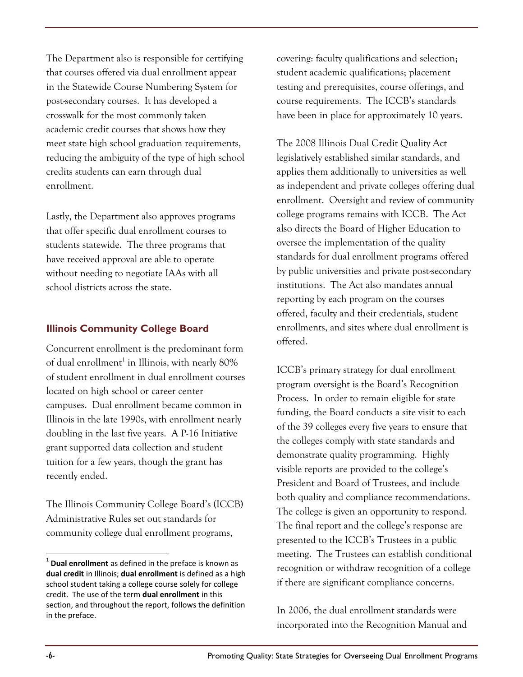The Department also is responsible for certifying that courses offered via dual enrollment appear in the Statewide Course Numbering System for post-secondary courses. It has developed a crosswalk for the most commonly taken academic credit courses that shows how they meet state high school graduation requirements, reducing the ambiguity of the type of high school credits students can earn through dual enrollment.

Lastly, the Department also approves programs that offer specific dual enrollment courses to students statewide. The three programs that have received approval are able to operate without needing to negotiate IAAs with all school districts across the state.

#### **Illinois Community College Board**

Concurrent enrollment is the predominant form of dual enrollment $^1$  in Illinois, with nearly 80% of student enrollment in dual enrollment courses located on high school or career center campuses. Dual enrollment became common in Illinois in the late 1990s, with enrollment nearly doubling in the last five years. A P-16 Initiative grant supported data collection and student tuition for a few years, though the grant has recently ended.

The Illinois Community College Board's (ICCB) Administrative Rules set out standards for community college dual enrollment programs,

covering: faculty qualifications and selection; student academic qualifications; placement testing and prerequisites, course offerings, and course requirements. The ICCB's standards have been in place for approximately 10 years.

The 2008 Illinois Dual Credit Quality Act legislatively established similar standards, and applies them additionally to universities as well as independent and private colleges offering dual enrollment. Oversight and review of community college programs remains with ICCB. The Act also directs the Board of Higher Education to oversee the implementation of the quality standards for dual enrollment programs offered by public universities and private post-secondary institutions. The Act also mandates annual reporting by each program on the courses offered, faculty and their credentials, student enrollments, and sites where dual enrollment is offered.

ICCB's primary strategy for dual enrollment program oversight is the Board's Recognition Process. In order to remain eligible for state funding, the Board conducts a site visit to each of the 39 colleges every five years to ensure that the colleges comply with state standards and demonstrate quality programming. Highly visible reports are provided to the college's President and Board of Trustees, and include both quality and compliance recommendations. The college is given an opportunity to respond. The final report and the college's response are presented to the ICCB's Trustees in a public meeting. The Trustees can establish conditional recognition or withdraw recognition of a college if there are significant compliance concerns.

In 2006, the dual enrollment standards were incorporated into the Recognition Manual and

 $\overline{a}$ 

<sup>1</sup> **Dual enrollment** as defined in the preface is known as **dual credit** in Illinois; **dual enrollment** is defined as a high school student taking a college course solely for college credit. The use of the term **dual enrollment** in this section, and throughout the report, follows the definition in the preface.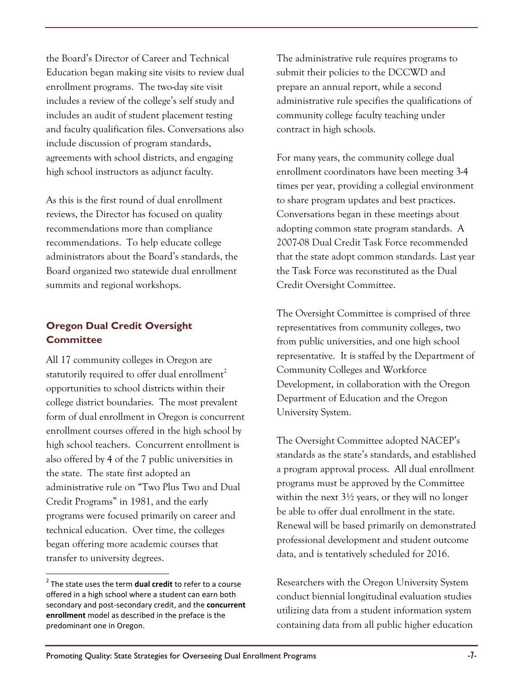the Board's Director of Career and Technical Education began making site visits to review dual enrollment programs. The two-day site visit includes a review of the college's self study and includes an audit of student placement testing and faculty qualification files. Conversations also include discussion of program standards, agreements with school districts, and engaging high school instructors as adjunct faculty.

As this is the first round of dual enrollment reviews, the Director has focused on quality recommendations more than compliance recommendations. To help educate college administrators about the Board's standards, the Board organized two statewide dual enrollment summits and regional workshops.

#### **Oregon Dual Credit Oversight Committee**

All 17 community colleges in Oregon are statutorily required to offer dual enrollment<sup>2</sup> opportunities to school districts within their college district boundaries. The most prevalent form of dual enrollment in Oregon is concurrent enrollment courses offered in the high school by high school teachers. Concurrent enrollment is also offered by 4 of the 7 public universities in the state. The state first adopted an administrative rule on "Two Plus Two and Dual Credit Programs" in 1981, and the early programs were focused primarily on career and technical education. Over time, the colleges began offering more academic courses that transfer to university degrees.

 $\overline{a}$ 

The administrative rule requires programs to submit their policies to the DCCWD and prepare an annual report, while a second administrative rule specifies the qualifications of community college faculty teaching under contract in high schools.

For many years, the community college dual enrollment coordinators have been meeting 3-4 times per year, providing a collegial environment to share program updates and best practices. Conversations began in these meetings about adopting common state program standards. A 2007-08 Dual Credit Task Force recommended that the state adopt common standards. Last year the Task Force was reconstituted as the Dual Credit Oversight Committee.

The Oversight Committee is comprised of three representatives from community colleges, two from public universities, and one high school representative. It is staffed by the Department of Community Colleges and Workforce Development, in collaboration with the Oregon Department of Education and the Oregon University System.

The Oversight Committee adopted NACEP's standards as the state's standards, and established a program approval process. All dual enrollment programs must be approved by the Committee within the next 3½ years, or they will no longer be able to offer dual enrollment in the state. Renewal will be based primarily on demonstrated professional development and student outcome data, and is tentatively scheduled for 2016.

Researchers with the Oregon University System conduct biennial longitudinal evaluation studies utilizing data from a student information system containing data from all public higher education

<sup>2</sup> The state uses the term **dual credit** to refer to a course offered in a high school where a student can earn both secondary and post-secondary credit, and the **concurrent enrollment** model as described in the preface is the predominant one in Oregon.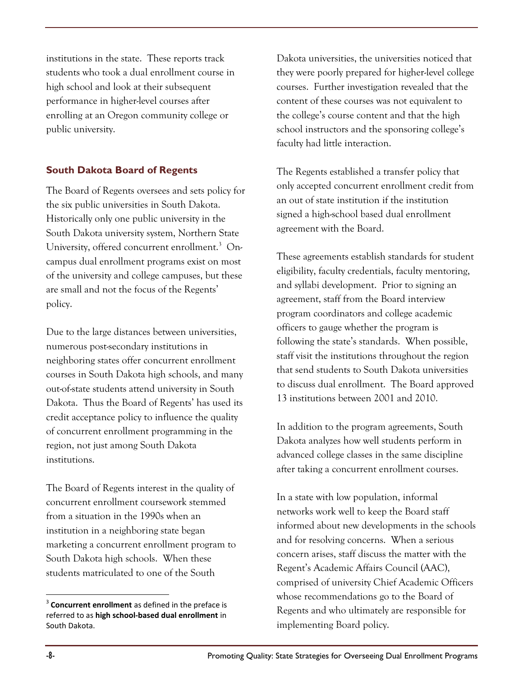institutions in the state. These reports track students who took a dual enrollment course in high school and look at their subsequent performance in higher-level courses after enrolling at an Oregon community college or public university.

#### **South Dakota Board of Regents**

The Board of Regents oversees and sets policy for the six public universities in South Dakota. Historically only one public university in the South Dakota university system, Northern State University, offered concurrent enrollment.<sup>3</sup> Oncampus dual enrollment programs exist on most of the university and college campuses, but these are small and not the focus of the Regents' policy.

Due to the large distances between universities, numerous post-secondary institutions in neighboring states offer concurrent enrollment courses in South Dakota high schools, and many out-of-state students attend university in South Dakota. Thus the Board of Regents' has used its credit acceptance policy to influence the quality of concurrent enrollment programming in the region, not just among South Dakota institutions.

The Board of Regents interest in the quality of concurrent enrollment coursework stemmed from a situation in the 1990s when an institution in a neighboring state began marketing a concurrent enrollment program to South Dakota high schools. When these students matriculated to one of the South

Dakota universities, the universities noticed that they were poorly prepared for higher-level college courses. Further investigation revealed that the content of these courses was not equivalent to the college's course content and that the high school instructors and the sponsoring college's faculty had little interaction.

The Regents established a transfer policy that only accepted concurrent enrollment credit from an out of state institution if the institution signed a high-school based dual enrollment agreement with the Board.

These agreements establish standards for student eligibility, faculty credentials, faculty mentoring, and syllabi development. Prior to signing an agreement, staff from the Board interview program coordinators and college academic officers to gauge whether the program is following the state's standards. When possible, staff visit the institutions throughout the region that send students to South Dakota universities to discuss dual enrollment. The Board approved 13 institutions between 2001 and 2010.

In addition to the program agreements, South Dakota analyzes how well students perform in advanced college classes in the same discipline after taking a concurrent enrollment courses.

In a state with low population, informal networks work well to keep the Board staff informed about new developments in the schools and for resolving concerns. When a serious concern arises, staff discuss the matter with the Regent's Academic Affairs Council (AAC), comprised of university Chief Academic Officers whose recommendations go to the Board of Regents and who ultimately are responsible for implementing Board policy.

 $\overline{a}$ 

<sup>&</sup>lt;sup>3</sup> Concurrent enrollment as defined in the preface is referred to as **high school-based dual enrollment** in South Dakota.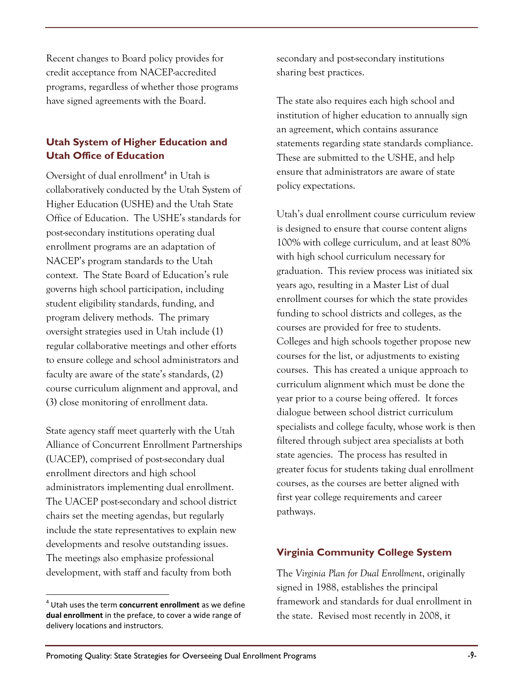Recent changes to Board policy provides for credit acceptance from NACEP-accredited programs, regardless of whether those programs have signed agreements with the Board.

#### **Utah System of Higher Education and Utah Office of Education**

Oversight of dual enrollment<sup>4</sup> in Utah is collaboratively conducted by the Utah System of Higher Education (USHE) and the Utah State Office of Education. The USHE's standards for post-secondary institutions operating dual enrollment programs are an adaptation of NACEP's program standards to the Utah context. The State Board of Education's rule governs high school participation, including student eligibility standards, funding, and program delivery methods. The primary oversight strategies used in Utah include (1) regular collaborative meetings and other efforts to ensure college and school administrators and faculty are aware of the state's standards, (2) course curriculum alignment and approval, and (3) close monitoring of enrollment data.

State agency staff meet quarterly with the Utah Alliance of Concurrent Enrollment Partnerships (UACEP), comprised of post-secondary dual enrollment directors and high school administrators implementing dual enrollment. The UACEP post-secondary and school district chairs set the meeting agendas, but regularly include the state representatives to explain new developments and resolve outstanding issues. The meetings also emphasize professional development, with staff and faculty from both

 $\overline{a}$ 

secondary and post-secondary institutions sharing best practices.

The state also requires each high school and institution of higher education to annually sign an agreement, which contains assurance statements regarding state standards compliance. These are submitted to the USHE, and help ensure that administrators are aware of state policy expectations.

Utah's dual enrollment course curriculum review is designed to ensure that course content aligns 100% with college curriculum, and at least 80% with high school curriculum necessary for graduation. This review process was initiated six years ago, resulting in a Master List of dual enrollment courses for which the state provides funding to school districts and colleges, as the courses are provided for free to students. Colleges and high schools together propose new courses for the list, or adjustments to existing courses. This has created a unique approach to curriculum alignment which must be done the year prior to a course being offered. It forces dialogue between school district curriculum specialists and college faculty, whose work is then filtered through subject area specialists at both state agencies. The process has resulted in greater focus for students taking dual enrollment courses, as the courses are better aligned with first year college requirements and career pathways.

#### **Virginia Community College System**

The *Virginia Plan for Dual Enrollment*, originally signed in 1988, establishes the principal framework and standards for dual enrollment in the state. Revised most recently in 2008, it

<sup>4</sup> Utah uses the term **concurrent enrollment** as we define **dual enrollment** in the preface, to cover a wide range of delivery locations and instructors.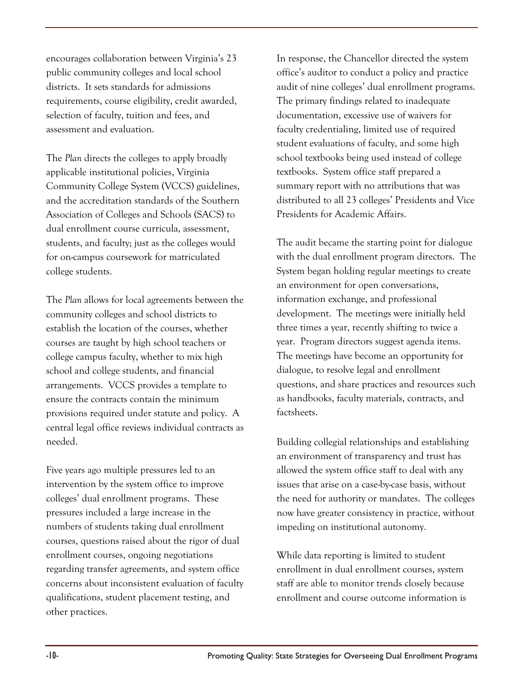encourages collaboration between Virginia's 23 public community colleges and local school districts. It sets standards for admissions requirements, course eligibility, credit awarded, selection of faculty, tuition and fees, and assessment and evaluation.

The *Plan* directs the colleges to apply broadly applicable institutional policies, Virginia Community College System (VCCS) guidelines, and the accreditation standards of the Southern Association of Colleges and Schools (SACS) to dual enrollment course curricula, assessment, students, and faculty; just as the colleges would for on-campus coursework for matriculated college students.

The *Plan* allows for local agreements between the community colleges and school districts to establish the location of the courses, whether courses are taught by high school teachers or college campus faculty, whether to mix high school and college students, and financial arrangements. VCCS provides a template to ensure the contracts contain the minimum provisions required under statute and policy. A central legal office reviews individual contracts as needed.

Five years ago multiple pressures led to an intervention by the system office to improve colleges' dual enrollment programs. These pressures included a large increase in the numbers of students taking dual enrollment courses, questions raised about the rigor of dual enrollment courses, ongoing negotiations regarding transfer agreements, and system office concerns about inconsistent evaluation of faculty qualifications, student placement testing, and other practices.

In response, the Chancellor directed the system office's auditor to conduct a policy and practice audit of nine colleges' dual enrollment programs. The primary findings related to inadequate documentation, excessive use of waivers for faculty credentialing, limited use of required student evaluations of faculty, and some high school textbooks being used instead of college textbooks. System office staff prepared a summary report with no attributions that was distributed to all 23 colleges' Presidents and Vice Presidents for Academic Affairs.

The audit became the starting point for dialogue with the dual enrollment program directors. The System began holding regular meetings to create an environment for open conversations, information exchange, and professional development. The meetings were initially held three times a year, recently shifting to twice a year. Program directors suggest agenda items. The meetings have become an opportunity for dialogue, to resolve legal and enrollment questions, and share practices and resources such as handbooks, faculty materials, contracts, and factsheets.

Building collegial relationships and establishing an environment of transparency and trust has allowed the system office staff to deal with any issues that arise on a case-by-case basis, without the need for authority or mandates. The colleges now have greater consistency in practice, without impeding on institutional autonomy.

While data reporting is limited to student enrollment in dual enrollment courses, system staff are able to monitor trends closely because enrollment and course outcome information is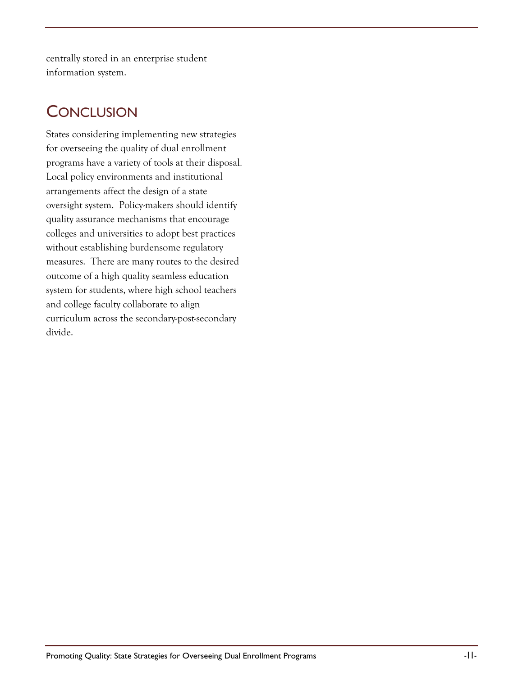centrally stored in an enterprise student information system.

### **CONCLUSION**

States considering implementing new strategies for overseeing the quality of dual enrollment programs have a variety of tools at their disposal. Local policy environments and institutional arrangements affect the design of a state oversight system. Policy-makers should identify quality assurance mechanisms that encourage colleges and universities to adopt best practices without establishing burdensome regulatory measures. There are many routes to the desired outcome of a high quality seamless education system for students, where high school teachers and college faculty collaborate to align curriculum across the secondary-post-secondary divide.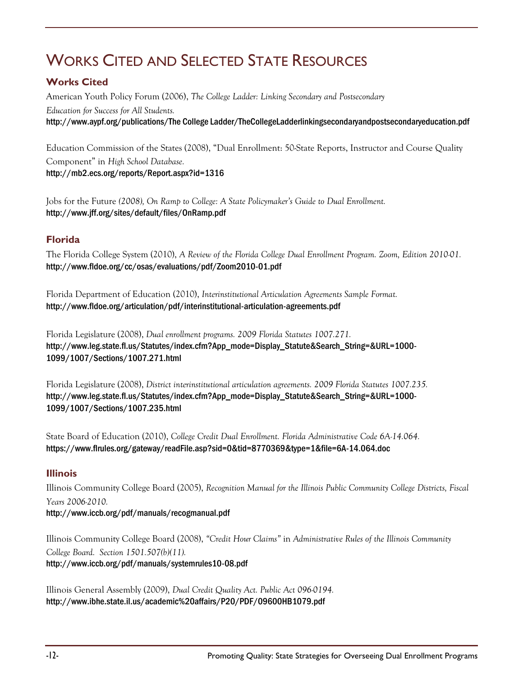# WORKS CITED AND SELECTED STATE RESOURCES

#### **Works Cited**

American Youth Policy Forum (2006), *The College Ladder: Linking Secondary and Postsecondary Education for Success for All Students.* [http://www.aypf.org/publications/The College Ladder/TheCollegeLadderlinkingsecondaryandpostsecondaryeducation.pdf](http://www.aypf.org/publications/The%20College%20Ladder/TheCollegeLadderlinkingsecondaryandpostsecondaryeducation.pdf)

Education Commission of the States (2008), "Dual Enrollment: 50-State Reports, Instructor and Course Quality Component" in *High School Database.* <http://mb2.ecs.org/reports/Report.aspx?id=1316>

Jobs for the Future *(2008), On Ramp to College: A State Policymaker's Guide to Dual Enrollment.*  <http://www.jff.org/sites/default/files/OnRamp.pdf>

#### **Florida**

The Florida College System (2010), *A Review of the Florida College Dual Enrollment Program. Zoom, Edition 2010-01.* <http://www.fldoe.org/cc/osas/evaluations/pdf/Zoom2010-01.pdf>

Florida Department of Education (2010), *Interinstitutional Articulation Agreements Sample Format.* <http://www.fldoe.org/articulation/pdf/interinstitutional-articulation-agreements.pdf>

Florida Legislature (2008), *Dual enrollment programs. 2009 Florida Statutes 1007.271.* [http://www.leg.state.fl.us/Statutes/index.cfm?App\\_mode=Display\\_Statute&Search\\_String=&URL=1000-](http://www.leg.state.fl.us/Statutes/index.cfm?App_mode=Display_Statute&Search_String=&URL=1000-1099/1007/Sections/1007.271.html) [1099/1007/Sections/1007.271.html](http://www.leg.state.fl.us/Statutes/index.cfm?App_mode=Display_Statute&Search_String=&URL=1000-1099/1007/Sections/1007.271.html)

Florida Legislature (2008), *District interinstitutional articulation agreements. 2009 Florida Statutes 1007.235.* [http://www.leg.state.fl.us/Statutes/index.cfm?App\\_mode=Display\\_Statute&Search\\_String=&URL=1000-](http://www.leg.state.fl.us/Statutes/index.cfm?App_mode=Display_Statute&Search_String=&URL=1000-1099/1007/Sections/1007.235.html) [1099/1007/Sections/1007.235.html](http://www.leg.state.fl.us/Statutes/index.cfm?App_mode=Display_Statute&Search_String=&URL=1000-1099/1007/Sections/1007.235.html)

State Board of Education (2010), *College Credit Dual Enrollment. Florida Administrative Code 6A-14.064.* <https://www.flrules.org/gateway/readFile.asp?sid=0&tid=8770369&type=1&file=6A-14.064.doc>

#### **Illinois**

Illinois Community College Board (2005), *Recognition Manual for the Illinois Public Community College Districts, Fiscal Years 2006-2010.* <http://www.iccb.org/pdf/manuals/recogmanual.pdf>

Illinois Community College Board (2008), *"Credit Hour Claims"* in *Administrative Rules of the Illinois Community College Board. Section 1501.507(b)(11).* <http://www.iccb.org/pdf/manuals/systemrules10-08.pdf>

Illinois General Assembly (2009), *Dual Credit Quality Act. Public Act 096-0194.* <http://www.ibhe.state.il.us/academic%20affairs/P20/PDF/09600HB1079.pdf>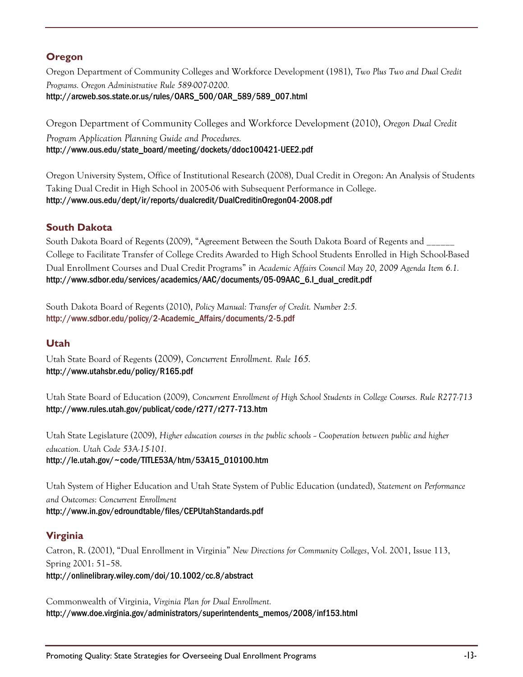#### **Oregon**

Oregon Department of Community Colleges and Workforce Development (1981), *Two Plus Two and Dual Credit Programs. Oregon Administrative Rule 589-007-0200.* [http://arcweb.sos.state.or.us/rules/OARS\\_500/OAR\\_589/589\\_007.html](http://arcweb.sos.state.or.us/rules/OARS_500/OAR_589/589_007.html)

Oregon Department of Community Colleges and Workforce Development (2010), *Oregon Dual Credit Program Application Planning Guide and Procedures.* [http://www.ous.edu/state\\_board/meeting/dockets/ddoc100421-UEE2.pdf](http://www.ous.edu/state_board/meeting/dockets/ddoc100421-UEE2.pdf)

Oregon University System, Office of Institutional Research (2008), Dual Credit in Oregon: An Analysis of Students Taking Dual Credit in High School in 2005-06 with Subsequent Performance in College. <http://www.ous.edu/dept/ir/reports/dualcredit/DualCreditinOregon04-2008.pdf>

#### **South Dakota**

South Dakota Board of Regents (2009), "Agreement Between the South Dakota Board of Regents and \_ College to Facilitate Transfer of College Credits Awarded to High School Students Enrolled in High School-Based Dual Enrollment Courses and Dual Credit Programs" in *Academic Affairs Council May 20, 2009 Agenda Item 6.1.* [http://www.sdbor.edu/services/academics/AAC/documents/05-09AAC\\_6.I\\_dual\\_credit.pdf](http://www.sdbor.edu/services/academics/AAC/documents/05-09AAC_6.I_dual_credit.pdf)

South Dakota Board of Regents (2010), *Policy Manual: Transfer of Credit. Number 2:5.* [http://www.sdbor.edu/policy/2-Academic\\_Affairs/documents/2-5.pdf](http://www.sdbor.edu/policy/2-Academic_Affairs/documents/2-5.pdf)

#### **Utah**

Utah State Board of Regents (2009), *Concurrent Enrollment. Rule 165.* <http://www.utahsbr.edu/policy/R165.pdf>

Utah State Board of Education (2009), *Concurrent Enrollment of High School Students in College Courses. Rule R277-713* <http://www.rules.utah.gov/publicat/code/r277/r277-713.htm>

Utah State Legislature (2009), *Higher education courses in the public schools -- Cooperation between public and higher education. Utah Code 53A-15-101.* [http://le.utah.gov/~code/TITLE53A/htm/53A15\\_010100.htm](http://le.utah.gov/~code/TITLE53A/htm/53A15_010100.htm)

Utah System of Higher Education and Utah State System of Public Education (undated), *Statement on Performance and Outcomes: Concurrent Enrollment* <http://www.in.gov/edroundtable/files/CEPUtahStandards.pdf>

#### **Virginia**

Catron, R. (2001), "Dual Enrollment in Virginia" *New Directions for Community Colleges*, Vol. 2001, Issue 113, Spring 2001: 51–58. <http://onlinelibrary.wiley.com/doi/10.1002/cc.8/abstract>

Commonwealth of Virginia, *Virginia Plan for Dual Enrollment.* [http://www.doe.virginia.gov/administrators/superintendents\\_memos/2008/inf153.html](http://www.doe.virginia.gov/administrators/superintendents_memos/2008/inf153.html)